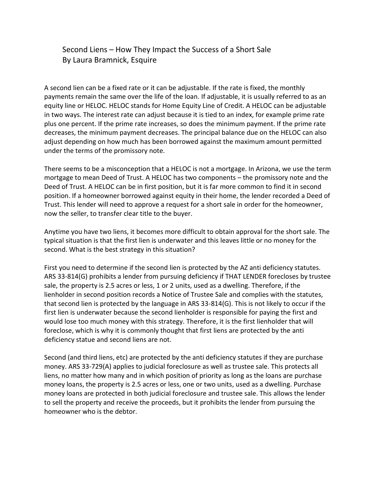## Second Liens – How They Impact the Success of a Short Sale By Laura Bramnick, Esquire

A second lien can be a fixed rate or it can be adjustable. If the rate is fixed, the monthly payments remain the same over the life of the loan. If adjustable, it is usually referred to as an equity line or HELOC. HELOC stands for Home Equity Line of Credit. A HELOC can be adjustable in two ways. The interest rate can adjust because it is tied to an index, for example prime rate plus one percent. If the prime rate increases, so does the minimum payment. If the prime rate decreases, the minimum payment decreases. The principal balance due on the HELOC can also adjust depending on how much has been borrowed against the maximum amount permitted under the terms of the promissory note.

There seems to be a misconception that a HELOC is not a mortgage. In Arizona, we use the term mortgage to mean Deed of Trust. A HELOC has two components – the promissory note and the Deed of Trust. A HELOC can be in first position, but it is far more common to find it in second position. If a homeowner borrowed against equity in their home, the lender recorded a Deed of Trust. This lender will need to approve a request for a short sale in order for the homeowner, now the seller, to transfer clear title to the buyer.

Anytime you have two liens, it becomes more difficult to obtain approval for the short sale. The typical situation is that the first lien is underwater and this leaves little or no money for the second. What is the best strategy in this situation?

First you need to determine if the second lien is protected by the AZ anti deficiency statutes. ARS 33-814(G) prohibits a lender from pursuing deficiency if THAT LENDER forecloses by trustee sale, the property is 2.5 acres or less, 1 or 2 units, used as a dwelling. Therefore, if the lienholder in second position records a Notice of Trustee Sale and complies with the statutes, that second lien is protected by the language in ARS 33-814(G). This is not likely to occur if the first lien is underwater because the second lienholder is responsible for paying the first and would lose too much money with this strategy. Therefore, it is the first lienholder that will foreclose, which is why it is commonly thought that first liens are protected by the anti deficiency statue and second liens are not.

Second (and third liens, etc) are protected by the anti deficiency statutes if they are purchase money. ARS 33-729(A) applies to judicial foreclosure as well as trustee sale. This protects all liens, no matter how many and in which position of priority as long as the loans are purchase money loans, the property is 2.5 acres or less, one or two units, used as a dwelling. Purchase money loans are protected in both judicial foreclosure and trustee sale. This allows the lender to sell the property and receive the proceeds, but it prohibits the lender from pursuing the homeowner who is the debtor.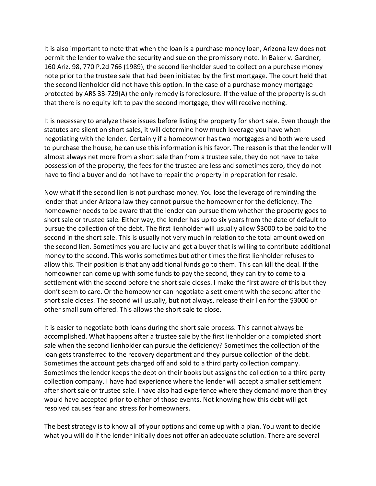It is also important to note that when the loan is a purchase money loan, Arizona law does not permit the lender to waive the security and sue on the promissory note. In Baker v. Gardner, 160 Ariz. 98, 770 P.2d 766 (1989), the second lienholder sued to collect on a purchase money note prior to the trustee sale that had been initiated by the first mortgage. The court held that the second lienholder did not have this option. In the case of a purchase money mortgage protected by ARS 33-729(A) the only remedy is foreclosure. If the value of the property is such that there is no equity left to pay the second mortgage, they will receive nothing.

It is necessary to analyze these issues before listing the property for short sale. Even though the statutes are silent on short sales, it will determine how much leverage you have when negotiating with the lender. Certainly if a homeowner has two mortgages and both were used to purchase the house, he can use this information is his favor. The reason is that the lender will almost always net more from a short sale than from a trustee sale, they do not have to take possession of the property, the fees for the trustee are less and sometimes zero, they do not have to find a buyer and do not have to repair the property in preparation for resale.

Now what if the second lien is not purchase money. You lose the leverage of reminding the lender that under Arizona law they cannot pursue the homeowner for the deficiency. The homeowner needs to be aware that the lender can pursue them whether the property goes to short sale or trustee sale. Either way, the lender has up to six years from the date of default to pursue the collection of the debt. The first lienholder will usually allow \$3000 to be paid to the second in the short sale. This is usually not very much in relation to the total amount owed on the second lien. Sometimes you are lucky and get a buyer that is willing to contribute additional money to the second. This works sometimes but other times the first lienholder refuses to allow this. Their position is that any additional funds go to them. This can kill the deal. If the homeowner can come up with some funds to pay the second, they can try to come to a settlement with the second before the short sale closes. I make the first aware of this but they don't seem to care. Or the homeowner can negotiate a settlement with the second after the short sale closes. The second will usually, but not always, release their lien for the \$3000 or other small sum offered. This allows the short sale to close.

It is easier to negotiate both loans during the short sale process. This cannot always be accomplished. What happens after a trustee sale by the first lienholder or a completed short sale when the second lienholder can pursue the deficiency? Sometimes the collection of the loan gets transferred to the recovery department and they pursue collection of the debt. Sometimes the account gets charged off and sold to a third party collection company. Sometimes the lender keeps the debt on their books but assigns the collection to a third party collection company. I have had experience where the lender will accept a smaller settlement after short sale or trustee sale. I have also had experience where they demand more than they would have accepted prior to either of those events. Not knowing how this debt will get resolved causes fear and stress for homeowners.

The best strategy is to know all of your options and come up with a plan. You want to decide what you will do if the lender initially does not offer an adequate solution. There are several